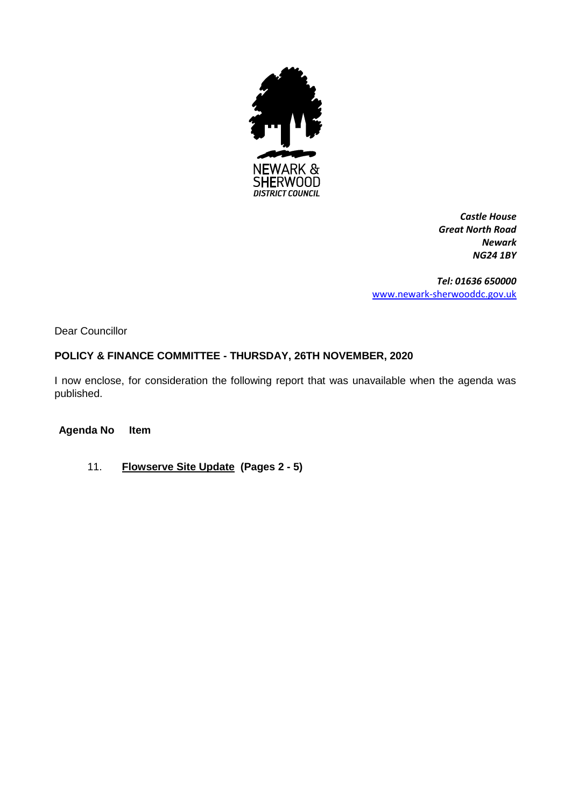

*Castle House Great North Road Newark NG24 1BY*

*Tel: 01636 650000* [www.newark-sherwooddc.gov.uk](http://www.newark-sherwooddc.gov.uk/)

Dear Councillor

# **POLICY & FINANCE COMMITTEE - THURSDAY, 26TH NOVEMBER, 2020**

I now enclose, for consideration the following report that was unavailable when the agenda was published.

**Agenda No Item**

11. **Flowserve Site Update (Pages 2 - 5)**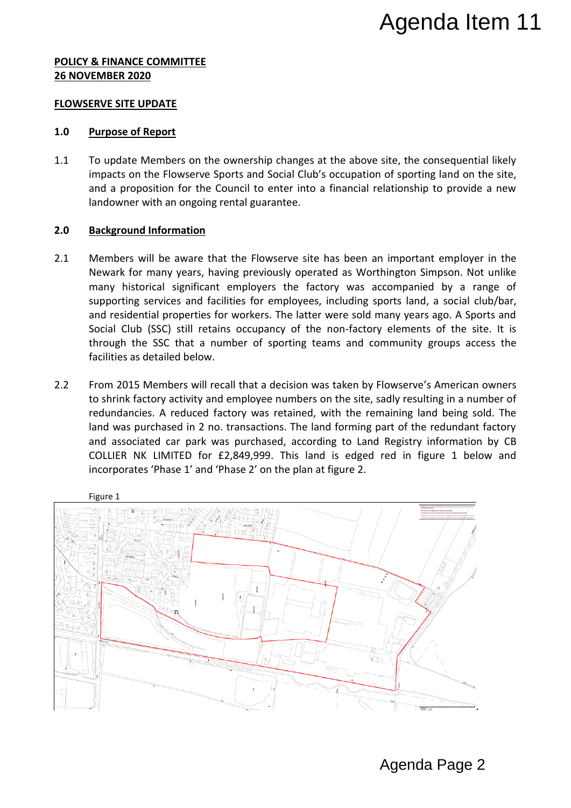# **POLICY & FINANCE COMMITTEE 26 NOVEMBER 2020**

#### **FLOWSERVE SITE UPDATE**

# **1.0 Purpose of Report**

1.1 To update Members on the ownership changes at the above site, the consequential likely impacts on the Flowserve Sports and Social Club's occupation of sporting land on the site, and a proposition for the Council to enter into a financial relationship to provide a new landowner with an ongoing rental guarantee.

# **2.0 Background Information**

- 2.1 Members will be aware that the Flowserve site has been an important employer in the Newark for many years, having previously operated as Worthington Simpson. Not unlike many historical significant employers the factory was accompanied by a range of supporting services and facilities for employees, including sports land, a social club/bar, and residential properties for workers. The latter were sold many years ago. A Sports and Social Club (SSC) still retains occupancy of the non-factory elements of the site. It is through the SSC that a number of sporting teams and community groups access the facilities as detailed below.
- 2.2 From 2015 Members will recall that a decision was taken by Flowserve's American owners to shrink factory activity and employee numbers on the site, sadly resulting in a number of redundancies. A reduced factory was retained, with the remaining land being sold. The land was purchased in 2 no. transactions. The land forming part of the redundant factory and associated car park was purchased, according to Land Registry information by CB COLLIER NK LIMITED for £2,849,999. This land is edged red in figure 1 below and incorporates 'Phase 1' and 'Phase 2' on the plan at figure 2.

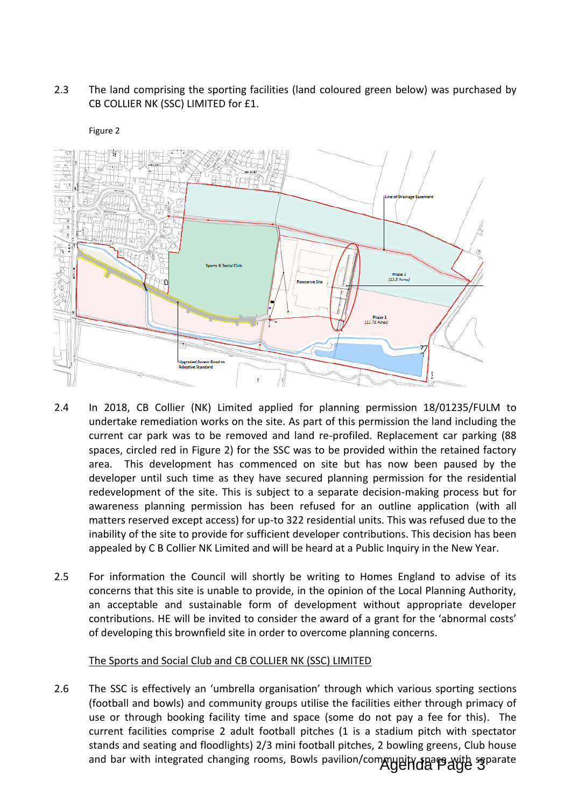# 2.3 The land comprising the sporting facilities (land coloured green below) was purchased by CB COLLIER NK (SSC) LIMITED for £1.



#### Figure 2

- 2.4 In 2018, CB Collier (NK) Limited applied for planning permission 18/01235/FULM to undertake remediation works on the site. As part of this permission the land including the current car park was to be removed and land re-profiled. Replacement car parking (88 spaces, circled red in Figure 2) for the SSC was to be provided within the retained factory area. This development has commenced on site but has now been paused by the developer until such time as they have secured planning permission for the residential redevelopment of the site. This is subject to a separate decision-making process but for awareness planning permission has been refused for an outline application (with all matters reserved except access) for up-to 322 residential units. This was refused due to the inability of the site to provide for sufficient developer contributions. This decision has been appealed by C B Collier NK Limited and will be heard at a Public Inquiry in the New Year.
- 2.5 For information the Council will shortly be writing to Homes England to advise of its concerns that this site is unable to provide, in the opinion of the Local Planning Authority, an acceptable and sustainable form of development without appropriate developer contributions. HE will be invited to consider the award of a grant for the 'abnormal costs' of developing this brownfield site in order to overcome planning concerns.

# The Sports and Social Club and CB COLLIER NK (SSC) LIMITED

2.6 The SSC is effectively an 'umbrella organisation' through which various sporting sections (football and bowls) and community groups utilise the facilities either through primacy of use or through booking facility time and space (some do not pay a fee for this). The current facilities comprise 2 adult football pitches (1 is a stadium pitch with spectator stands and seating and floodlights) 2/3 mini football pitches, 2 bowling greens, Club house and bar with integrated changing rooms, Bowls pavilion/community spare avith separate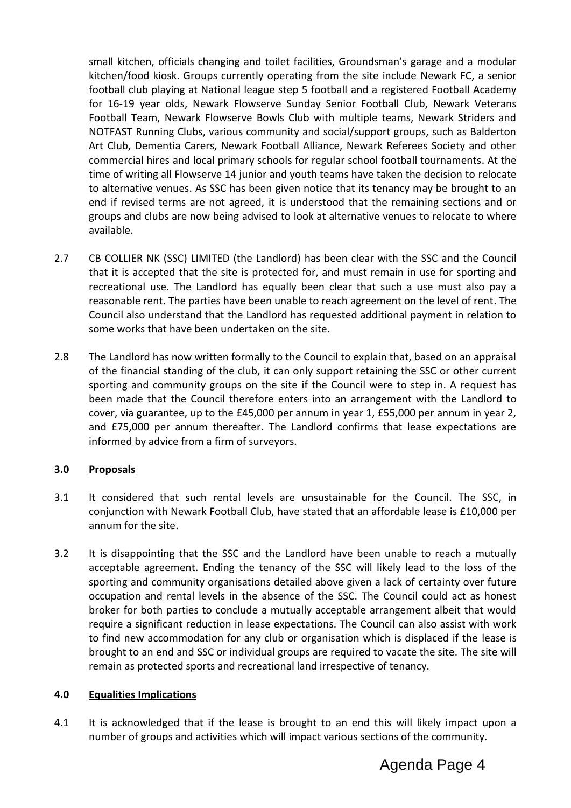small kitchen, officials changing and toilet facilities, Groundsman's garage and a modular kitchen/food kiosk. Groups currently operating from the site include Newark FC, a senior football club playing at National league step 5 football and a registered Football Academy for 16-19 year olds, Newark Flowserve Sunday Senior Football Club, Newark Veterans Football Team, Newark Flowserve Bowls Club with multiple teams, Newark Striders and NOTFAST Running Clubs, various community and social/support groups, such as Balderton Art Club, Dementia Carers, Newark Football Alliance, Newark Referees Society and other commercial hires and local primary schools for regular school football tournaments. At the time of writing all Flowserve 14 junior and youth teams have taken the decision to relocate to alternative venues. As SSC has been given notice that its tenancy may be brought to an end if revised terms are not agreed, it is understood that the remaining sections and or groups and clubs are now being advised to look at alternative venues to relocate to where available.

- 2.7 CB COLLIER NK (SSC) LIMITED (the Landlord) has been clear with the SSC and the Council that it is accepted that the site is protected for, and must remain in use for sporting and recreational use. The Landlord has equally been clear that such a use must also pay a reasonable rent. The parties have been unable to reach agreement on the level of rent. The Council also understand that the Landlord has requested additional payment in relation to some works that have been undertaken on the site.
- 2.8 The Landlord has now written formally to the Council to explain that, based on an appraisal of the financial standing of the club, it can only support retaining the SSC or other current sporting and community groups on the site if the Council were to step in. A request has been made that the Council therefore enters into an arrangement with the Landlord to cover, via guarantee, up to the £45,000 per annum in year 1, £55,000 per annum in year 2, and £75,000 per annum thereafter. The Landlord confirms that lease expectations are informed by advice from a firm of surveyors.

# **3.0 Proposals**

- 3.1 It considered that such rental levels are unsustainable for the Council. The SSC, in conjunction with Newark Football Club, have stated that an affordable lease is £10,000 per annum for the site.
- 3.2 It is disappointing that the SSC and the Landlord have been unable to reach a mutually acceptable agreement. Ending the tenancy of the SSC will likely lead to the loss of the sporting and community organisations detailed above given a lack of certainty over future occupation and rental levels in the absence of the SSC. The Council could act as honest broker for both parties to conclude a mutually acceptable arrangement albeit that would require a significant reduction in lease expectations. The Council can also assist with work to find new accommodation for any club or organisation which is displaced if the lease is brought to an end and SSC or individual groups are required to vacate the site. The site will remain as protected sports and recreational land irrespective of tenancy.

#### **4.0 Equalities Implications**

4.1 It is acknowledged that if the lease is brought to an end this will likely impact upon a number of groups and activities which will impact various sections of the community.